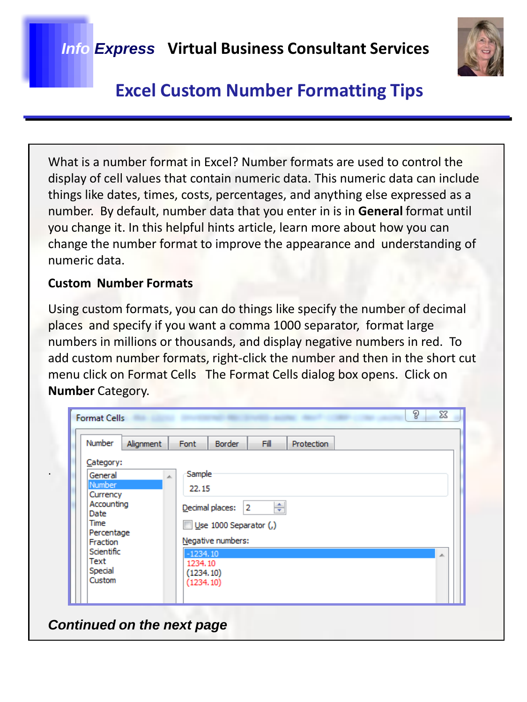

What is a number format in Excel? Number formats are used to control the display of cell values that contain numeric data. This numeric data can include things like dates, times, costs, percentages, and anything else expressed as a number. By default, number data that you enter in is in **General** format until you change it. In this helpful hints article, learn more about how you can change the number format to improve the appearance and understanding of numeric data.

### **Custom Number Formats**

Using custom formats, you can do things like specify the number of decimal places and specify if you want a comma 1000 separator, format large numbers in millions or thousands, and display negative numbers in red. To add custom number formats, right-click the number and then in the short cut menu click on Format Cells The Format Cells dialog box opens. Click on **Number** Category.

| Number<br>Alignment                                                                                                                                 | Fill<br>Font<br><b>Border</b><br>Protection                                                                                                         |
|-----------------------------------------------------------------------------------------------------------------------------------------------------|-----------------------------------------------------------------------------------------------------------------------------------------------------|
| Category:<br>General<br>A.<br>Number<br>Currency<br>Accounting<br>Date<br>Time<br>Percentage<br>Fraction<br>Scientific<br>Text<br>Special<br>Custom | Sample<br>22.15<br>÷<br>Decimal places:<br>2<br>Use 1000 Separator (,)<br>Negative numbers:<br>$-1234.10$<br>止<br>1234.10<br>(1234.10)<br>(1234.10) |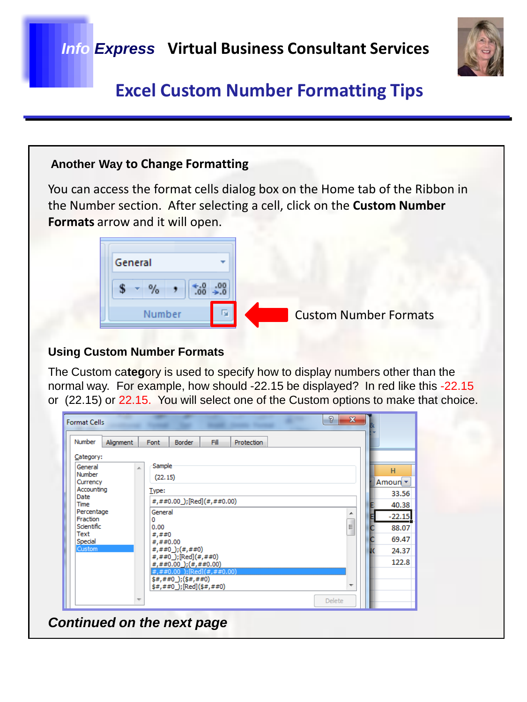

### **Another Way to Change Formatting**

You can access the format cells dialog box on the Home tab of the Ribbon in the Number section. After selecting a cell, click on the **Custom Number Formats** arrow and it will open.

#### **Using Custom Number Formats**

The Custom ca**teg**ory is used to specify how to display numbers other than the normal way. For example, how should -22.15 be displayed? In red like this -22.15 or (22.15) or 22.15. You will select one of the Custom options to make that choice.

| Number                 | Alignment | Font        | <b>Border</b>                                                   | Fill | Protection |               |    |          |
|------------------------|-----------|-------------|-----------------------------------------------------------------|------|------------|---------------|----|----------|
| Category:              |           |             |                                                                 |      |            |               |    |          |
| General                |           | Sample<br>× |                                                                 |      | н          |               |    |          |
| Currency               | Number    | (22.15)     |                                                                 |      |            |               |    | Amoun -  |
| Accounting             |           | Type:       |                                                                 |      |            |               |    | 33.56    |
| Date<br>Time           |           |             | #,##0.00 ); [Red] $( #, ##0.00)$                                |      |            |               |    | 40.38    |
| Percentage             |           | General     |                                                                 |      |            |               | ▲  | $-22.15$ |
| Fraction<br>Scientific |           | 0<br>0.00   |                                                                 |      |            |               | Ė, | 88.07    |
| Text                   |           | #,##0       |                                                                 |      |            |               |    |          |
| Special<br>Custom      |           | ###0.00     |                                                                 |      |            |               |    | 69.47    |
|                        |           |             | #,##0_);(#,##0)<br>#,##0_);[Red](#,##0)                         |      |            |               |    | 24.37    |
|                        |           |             | $\#$ , ##0.00 $\left($ $\#$ , ##0.00)                           |      |            |               |    | 122.8    |
|                        |           |             | $\#$ , ##0.00 ); [Red] (#, ##0.00)<br>$$#$ , ##0 ); $$#$ , ##0) |      |            |               |    |          |
|                        |           |             | $$#$ , ##0 ); [Red] $$#$ , ##0)                                 |      |            |               |    |          |
|                        |           |             |                                                                 |      |            |               |    |          |
|                        |           |             |                                                                 |      |            | <b>Delete</b> |    |          |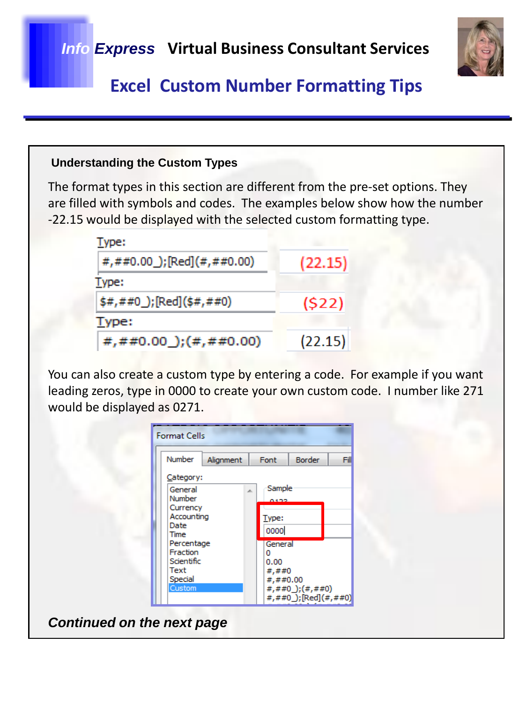

#### **Understanding the Custom Types**

The format types in this section are different from the pre-set options. They are filled with symbols and codes. The examples below show how the number -22.15 would be displayed with the selected custom formatting type.

| Type:                                    |         |
|------------------------------------------|---------|
| #,##0.00_);[Red](#,##0.00)               | (22.15) |
| Type:                                    |         |
| $\frac{1}{2}$ \$#,##0_); [Red] (\$#,##0) | (522)   |
| Type:                                    |         |
| #,##0.00 $\left($ #, ##0.00)             | (22.15) |

You can also create a custom type by entering a code. For example if you want leading zeros, type in 0000 to create your own custom code. I number like 271 would be displayed as 0271.

| Number                                                                                                                              | Alignment | Font                                                                         | <b>Border</b>                                                                    | Fill |
|-------------------------------------------------------------------------------------------------------------------------------------|-----------|------------------------------------------------------------------------------|----------------------------------------------------------------------------------|------|
| Category:<br>General<br>Number<br>Currency<br>Accounting<br>Date<br>Time<br>Percentage<br>Fraction<br>Scientific<br>Text<br>Special |           | Sample<br>0192<br>Type:<br>0000<br>General<br>0<br>0.00<br>#,##0<br>#,##0.00 |                                                                                  |      |
| Custom                                                                                                                              |           |                                                                              | $\#$ , $\#$ $\#$ 0 $\left($ $\#$ , $\#$ $\#$ 0 $\right)$<br>#,##0_);[Red](#,##0) |      |